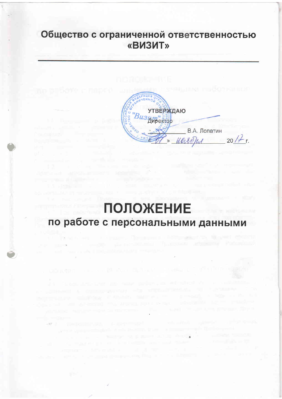## Общество с ограниченной ответственностью «ВИЗИТ»

**УТВЕРЖДАЮ** Bu<sub>3</sub>H<sub>Mexrop</sub> В.А. Лопатин  $20/f r$ . » Weirch

# **ПОЛОЖЕНИЕ** по работе с персональными данными

position is on the provider who wapted the con-

to experience of the following an exact state

of a material common

the company of the company of the company of the company of the company of the company of the company of the company of the company of the company of the company of the company of the company of the company of the company

arrest surgest think in the training trans- a support that is

the control of the state of the control of the control of the control of the control of the control of the control of the control of the control of the control of the control of the control of the control of the control of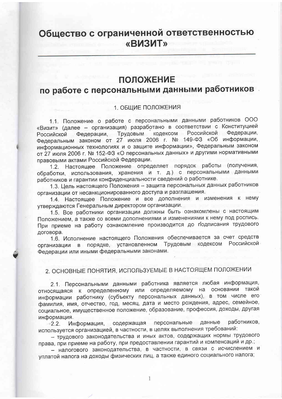## Общество с ограниченной ответственностью «ВИЗИТ»

### **ПОЛОЖЕНИЕ**

## по работе с персональными данными работников

### 1. ОБЩИЕ ПОЛОЖЕНИЯ

1.1. Положение о работе с персональными данными работников ООО «Визит» (далее - организация) разработано в соответствии с Конституцией Федерации, Трудовым кодексом Российской Федерации. Российской Федеральным законом от 27 июля 2006 г. № 149-ФЗ «Об информации, информационных технологиях и о защите информации», Федеральным законом от 27 июля 2006 г. № 152-ФЗ «О персональных данных» и другими нормативными правовыми актами Российской Федерации.

1.2. Настоящее Положение определяет порядок работы (получения, обработки, использования, хранения и т. д.) с персональными данными работников и гарантии конфиденциальности сведений о работнике.

1.3. Цель настоящего Положения - защита персональных данных работников организации от несанкционированного доступа и разглашения.

1.4. Настоящее Положение и все дополнения и изменения к нему утверждаются Генеральным директором организации.

1.5. Все работники организации должны быть ознакомлены с настоящим Положением, а также со всеми дополнениями и изменениями к нему под роспись. При приеме на работу ознакомление производится до подписания трудового договора.

1.6. Исполнение настоящего Положения обеспечивается за счет средств организации в порядке, установленном Трудовым кодексом Российской Федерации или иными федеральными законами.

### 2. ОСНОВНЫЕ ПОНЯТИЯ, ИСПОЛЬЗУЕМЫЕ В НАСТОЯЩЕМ ПОЛОЖЕНИИ

2.1. Персональными данными работника является любая информация, относящаяся к определенному или определяемому на основании такой информации работнику (субъекту персональных данных), в том числе его фамилия, имя, отчество, год, месяц, дата и место рождения, адрес, семейное, социальное, имущественное положение, образование, профессия, доходы, другая информация.

Информация, содержащая персональные данные работников.  $-2.2$ используется организацией, в частности, в целях выполнения требований:

- трудового законодательства и иных актов, содержащих нормы трудового права, при приеме на работу, при предоставлении гарантий и компенсаций и др.;

- налогового законодательства, в частности, в связи с исчислением и уплатой налога на доходы физических лиц, а также единого социального налога;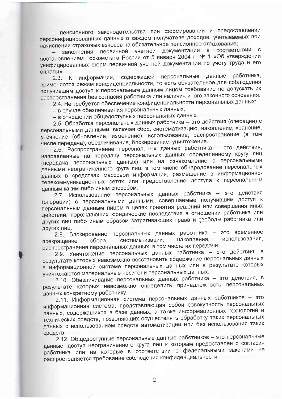- пенсионного законодательства при формировании и предоставлении персонифицированных данных о каждом получателе доходов, учитываемых при начислении страховых взносов на обязательное пенсионное страхование;

заполнения первичной учетной документации в соответствии с постановлением Госкомстата России от 5 января 2004 г. № 1 «Об утверждении унифицированных форм первичной учетной документации по учету труда и его оплаты».

К информации, содержащей персональные данные работника.  $2.3.$ применяется режим конфиденциальности, то есть обязательное для соблюдения получившим доступ к персональным данным лицом требование не допускать их распространения без согласия работника или наличия иного законного основания.

2.4. Не требуется обеспечение конфиденциальности персональных данных:

- в случае обезличивания персональных данных;

- в отношении общедоступных персональных данных.

2.5. Обработка персональных данных работника - это действия (операции) с персональными данными, включая сбор, систематизацию, накопление, хранение, уточнение (обновление, изменение), использование, распространение (в том числе передача), обезличивание, блокирование, уничтожение.

2.6. Распространение персональных данных работника - это действия, направленные на передачу персональных данных определенному кругу лиц (передача персональных данных) или на ознакомление с персональными данными неограниченного круга лиц, в том числе обнародование персональных данных в средствах массовой информации, размещение в информационнотелекоммуникационных сетях или предоставление доступа к персональным данным каким-либо иным способом.

2.7. Использование персональных данных работника - это действия (операции) с персональными данными, совершаемые получившим доступ к персональным данным лицом в целях принятия решений или совершения иных действий, порождающих юридические последствия в отношении работника или других лиц либо иным образом затрагивающих права и свободы работника или других лиц.

2.8. Блокирование персональных данных работника - это временное накопления, использования, систематизации, сбора, прекращение распространения персональных данных, в том числе их передачи.

2.9. Уничтожение персональных данных работника - это действия, в результате которых невозможно восстановить содержание персональных данных в информационной системе персональных данных или в результате которых уничтожаются материальные носители персональных данных.

2.10. Обезличивание персональных данных работника - это действия, в результате которых невозможно определить принадлежность персональных данных конкретному работнику.

2.11. Информационная система персональных данных работников - это информационная система, представляющая собой совокупность персональных данных, содержащихся в базе данных, а также информационных технологий и технических средств, позволяющих осуществлять обработку таких персональных данных с использованием средств автоматизации или без использования таких средств.

2.12. Общедоступные персональные данные работников - это персональные данные, доступ неограниченного круга лиц к которым предоставлен с согласия работника или на которые в соответствии с федеральными законами не распространяется требование соблюдения конфиденциальности.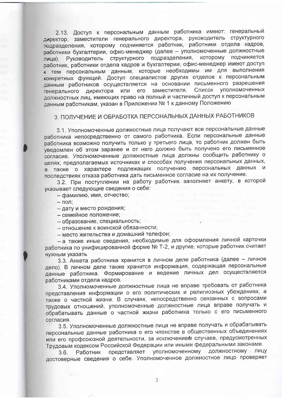2.13. Доступ к персональным данным работника имеют: генеральный директор, заместители генерального директора, руководитель структурного тодразделения, которому подчиняется работник, работники отдела кадров, работники бухгалтерии, офис-менеджер (далее - уполномоченные должностные Руководитель структурного подразделения, которому подчиняется лица). работник, работники отдела кадров и бухгалтерии, офис-менеджер имеют доступ к тем персональным данным, которые необходимы им для выполнения конкретных функций. Доступ специалистов других отделов к персональным данным работников осуществляется на основании письменного разрешения Список уполномоченных заместителя. генерального директора или его должностных лиц, имеющих право на полный и частичный доступ к персональным данным работникам, указан в Приложении № 1 к данному Положению

### 3. ПОЛУЧЕНИЕ И ОБРАБОТКА ПЕРСОНАЛЬНЫХ ДАННЫХ РАБОТНИКОВ

3.1. Уполномоченные должностные лица получают все персональные данные работника непосредственно от самого работника. Если персональные данные работника возможно получить только у третьего лица, то работник должен быть уведомлен об этом заранее и от него должно быть получено его письменное согласие. Уполномоченные должностные лица должны сообщить работнику о целях, предполагаемых источниках и способах получения персональных данных, также о характере подлежащих получению персональных данных и последствиях отказа работника дать письменное согласие на их получение.

3.2. При поступлении на работу работник заполняет анкету, в которой указывает следующие сведения о себе:

- фамилию, имя, отчество;

 $-$  пол:

- дату и место рождения;

- семейное положение;

- образование, специальность;

- отношение к воинской обязанности;

- место жительства и домашний телефон;

- а также иные сведения, необходимые для оформления личной карточки работника по унифицированной форме № Т-2, и другие, которые работник считает нужным указать

3.3. Анкета работника хранится в личном деле работника (далее - личное дело). В личном деле также хранится информация, содержащая персональные данные работника. Формирование и ведение личных дел осуществляется работниками отдела кадров.

3.4. Уполномоченные должностные лица не вправе требовать от работника представления информации о его политических и религиозных убеждениях, а также о частной жизни. В случаях, непосредственно связанных с вопросами трудовых отношений, уполномоченные должностные лица вправе получать и обрабатывать данные о частной жизни работника только с его письменного согласия.

3.5. Уполномоченные должностные лица не вправе получать и обрабатывать персональные данные работника о его членстве в общественных объединениях или его профсоюзной деятельности, за исключением случаев, предусмотренных Трудовым кодексом Российской Федерации или иными федеральными законами.

должностному лицу представляет уполномоченному Работник  $3.6.$ достоверные сведения о себе. Уполномоченное должностное лицо проверяет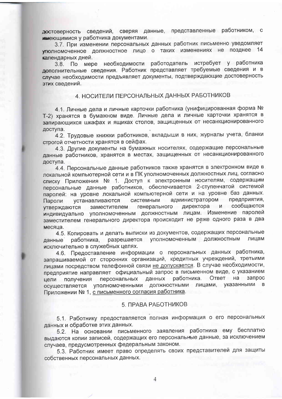достоверность сведений, сверяя данные, представленные работником, с имеющимися у работника документами.

3.7. При изменении персональных данных работник письменно уведомляет уполномоченное должностное лицо о таких изменениях не позднее 14 календарных дней.

3.8. По мере необходимости работодатель истребует у работника дополнительные сведения. Работник представляет требуемые сведения и в случае необходимости предъявляет документы, подтверждающие достоверность этих сведений.

### 4. НОСИТЕЛИ ПЕРСОНАЛЬНЫХ ДАННЫХ РАБОТНИКОВ

4.1. Личные дела и личные карточки работника (унифицированная форма № Т-2) хранятся в бумажном виде. Личные дела и личные карточки хранятся в запирающихся шкафах и ящиках столов, защищенных от несанкционированного доступа.

4.2. Трудовые книжки работников, вкладыши в них, журналы учета, бланки строгой отчетности хранятся в сейфах.

4.3. Другие документы на бумажных носителях, содержащие персональные данные работников, хранятся в местах, защищенных от несанкционированного доступа.

4.4. Персональные данные работников также хранятся в электронном виде в локальной компьютерной сети и в ПК уполномоченных должностных лиц, согласно списку Приложения № 1. Доступ к электронным носителям, содержащим персональные данные работников, обеспечивается 2-ступенчатой системой паролей: на уровне локальной компьютерной сети и на уровне баз данных. администратором предприятия. системным Пароли устанавливаются заместителем генерального директора и сообщаются утверждаются индивидуально уполномоченным должностным лицам. Изменение паролей заместителем генерального директора происходит не реже одного раза в два месяца.

4.5. Копировать и делать выписки из документов, содержащих персональные работника, разрешается уполномоченным должностным лицам данные исключительно в служебных целях.

4.6. Предоставление информации о персональных данных работника, запрашиваемой от сторонних организаций, кредитных учреждений, третьими лицами посредством телефонной связи не допускается. В случае необходимости, предприятие направляет официальный запрос в письменном виде, с указанием данных работника. Ответ на запрос получения персональных цели осуществляется уполномоченными должностными лицами, указанными в Приложении № 1, с письменного согласия работника.

#### 5 ПРАВА РАБОТНИКОВ

5.1. Работнику предоставляется полная информация о его персональных данных и обработке этих данных.

5.2. На основании письменного заявления работника ему бесплатно выдаются копии записей, содержащих его персональные данные, за исключением случаев, предусмотренных федеральным законом.

5.3. Работник имеет право определять своих представителей для защиты собственных персональных данных.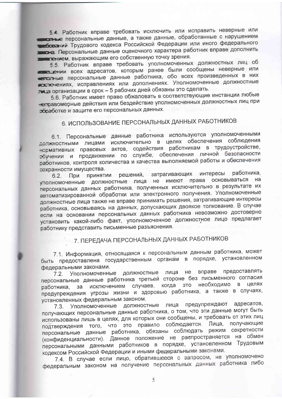54 Работник вправе требовать исключить или исправить неверные или полните персональные данные, а также данные, обработанные с нарушением Сований Трудового кодекса Российской Федерации или иного федерального по а Персональные данные оценочного характера работник вправе дополнить пением, выражающим его собственную точку зрения.

55. Работник вправе требовать уполномоченных должностных лиц об поведении всех адресатов, которым ранее были сообщены неверные или потные персональные данные работника, обо всех произведенных в них полениях, исправлениях или дополнениях. Уполномоченные должностные ли а организации в срок - 5 рабочих дней обязаны это сделать.

5.6. Работник имеет право обжаловать в соответствующие инстанции любые - стравомерные действия или бездействие уполномоченных должностных лиц при эбработке и защите его персональных данных.

### 6. ИСПОЛЬЗОВАНИЕ ПЕРСОНАЛЬНЫХ ДАННЫХ РАБОТНИКОВ

6.1. Персональные данные работника используются уполномоченными должностными лицами исключительно в целях обеспечения соблюдения - срмативных правовых актов, содействия работникам в трудоустройстве, обучении и продвижении по службе, обеспечения личной безопасности работников, контроля количества и качества выполняемой работы и обеспечения сохранности имущества.

При принятии решений, затрагивающих интересы работника,  $6.2.$ уполномоченные должностные лица не имеют права основываться на персональных данных работника, полученных исключительно в результате их автоматизированной обработки или электронного получения. Уполномоченные должностные лица также не вправе принимать решения, затрагивающие интересы работника, основываясь на данных, допускающих двоякое толкование. В случае если на основании персональных данных работника невозможно достоверно установить какой-либо факт, уполномоченное должностное лицо предлагает работнику представить письменные разъяснения.

### 7. ПЕРЕДАЧА ПЕРСОНАЛЬНЫХ ДАННЫХ РАБОТНИКОВ

7.1. Информация, относящаяся к персональным данным работника, может быть предоставлена государственным органам в порядке, установленном федеральными законами.

вправе предоставлять Уполномоченные должностные лица не  $7.2.$ персональные данные работника третьей стороне без письменного согласия исключением случаев, когда это необходимо в целях работника,  $3a$ предупреждения угрозы жизни и здоровью работника, а также в случаях, установленных федеральным законом.

Уполномоченные должностные лица предупреждают адресатов,  $7.3.$ получающих персональные данные работника, о том, что эти данные могут быть использованы лишь в целях, для которых они сообщены, и требовать от этих лиц подтверждения того, что это правило соблюдается. Лица, получающие персональные данные работника, обязаны соблюдать режим секретности (конфиденциальности). Данное положение не распространяется на обмен персональными данными работников в порядке, установленном Трудовым кодексом Российской Федерации и иными федеральными законами.

7.4. В случае если лицо, обратившееся с запросом, не уполномочено федеральным законом на получение персональных данных работника либо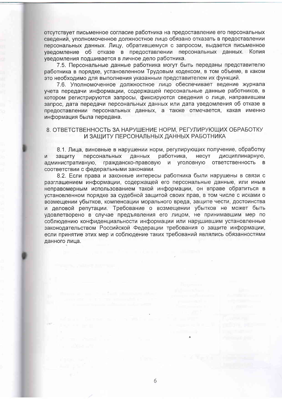отсутствует письменное согласие работника на предоставление его персональных сведений, уполномоченное должностное лицо обязано отказать в предоставлении персональных данных. Лицу, обратившемуся с запросом, выдается письменное уведомление об отказе в предоставлении персональных данных. Копия уведомления подшивается в личное дело работника.

7.5. Персональные данные работника могут быть переданы представителю работника в порядке, установленном Трудовым кодексом, в том объеме, в каком это необходимо для выполнения указанным представителем их функций.

7.6. Уполномоченное должностное лицо обеспечивает ведение журнала учета передачи информации, содержащей персональные данные работников, в котором регистрируются запросы, фиксируются сведения о лице, направившем запрос, дата передачи персональных данных или дата уведомления об отказе в предоставлении персональных данных, а также отмечается, какая именно информация была передана.

### 8. ОТВЕТСТВЕННОСТЬ ЗА НАРУШЕНИЕ НОРМ, РЕГУЛИРУЮЩИХ ОБРАБОТКУ И ЗАЩИТУ ПЕРСОНАЛЬНЫХ ДАННЫХ РАБОТНИКА

8.1. Лица, виновные в нарушении норм, регулирующих получение, обработку защиту персональных данных работника, несут дисциплинарную,  $M$ административную, гражданско-правовую и уголовную ответственность B соответствии с федеральными законами.

8.2. Если права и законные интересы работника были нарушены в связи с разглашением информации, содержащей его персональные данные, или иным неправомерным использованием такой информации, он вправе обратиться в установленном порядке за судебной защитой своих прав, в том числе с исками о возмещении убытков, компенсации морального вреда, защите чести, достоинства и деловой репутации. Требование о возмещении убытков не может быть удовлетворено в случае предъявления его лицом, не принимавшим мер по соблюдению конфиденциальности информации или нарушившим установленные законодательством Российской Федерации требования о защите информации, если принятие этих мер и соблюдение таких требований являлись обязанностями данного лица.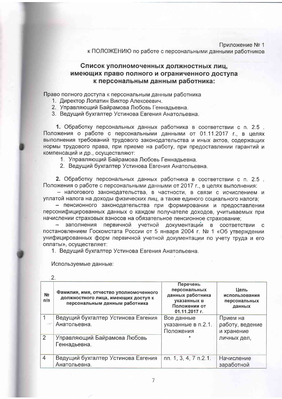Приложение № 1 к ПОЛОЖЕНИЮ по работе с персональными данными работников

### Список уполномоченных должностных лиц, имеющих право полного и ограниченного доступа к персональным данным работника:

Право полного доступа к персональным данным работника

- 1. Директор Лопатин Виктор Алексеевич.
- 2. Управляющий Байрамова Любовь Геннадьевна.
- 3. Ведущий бухгалтер Устинова Евгения Анатольевна.

1. Обработку персональных данных работника в соответствии с п. 2.5. Положения о работе с персональными данными от 01.11.2017 г., в целях выполнения требований трудового законодательства и иных актов, содержащих нормы трудового права, при приеме на работу, при предоставлении гарантий и компенсаций и др., осуществляют:

1. Управляющий Байрамова Любовь Геннадьевна.

2. Ведущий бухгалтер Устинова Евгения Анатольевна.

2. Обработку персональных данных работника в соответствии с п. 2.5. Положения о работе с персональными данными от 2017 г., в целях выполнения:

- налогового законодательства, в частности, в связи с исчислением и уплатой налога на доходы физических лиц, а также единого социального налога;

- пенсионного законодательства при формировании и предоставлении персонифицированных данных о каждом получателе доходов, учитываемых при начислении страховых взносов на обязательное пенсионное страхование:

- заполнения первичной учетной документации в соответствии с постановлением Госкомстата России от 5 января 2004 г. № 1 «Об утверждении унифицированных форм первичной учетной документации по учету труда и его оплаты», осуществляет:

1. Ведущий бухгалтер Устинова Евгения Анатольевна.

Используемые данные:

| N <sub>2</sub><br>п/п | Фамилия, имя, отчество уполномоченного<br>должностного лица, имеющих доступ к<br>персональным данным работника | Перечень<br>персональных<br>данных работника<br>указанных в<br>Положении от<br>01.11.2017 г. | Цель<br>использования<br>персональных<br>данных |
|-----------------------|----------------------------------------------------------------------------------------------------------------|----------------------------------------------------------------------------------------------|-------------------------------------------------|
|                       | Ведущий бухгалтер Устинова Евгения                                                                             | Все данные                                                                                   | Прием на                                        |
|                       | Анатольевна.                                                                                                   | указанные в п.2.1.                                                                           | работу, ведение                                 |
|                       |                                                                                                                | Положения                                                                                    | и хранение                                      |
| $\overline{2}$        | Управляющий Байрамова Любовь                                                                                   |                                                                                              | личных дел,                                     |
|                       | Геннадьевна.                                                                                                   |                                                                                              |                                                 |
| $\overline{4}$        | Ведущий бухгалтер Устинова Евгения                                                                             | $\pi$ n. 1, 3, 4, 7 $\pi$ . 2.1.                                                             | Начисление                                      |
|                       | Анатольевна.                                                                                                   |                                                                                              | заработной                                      |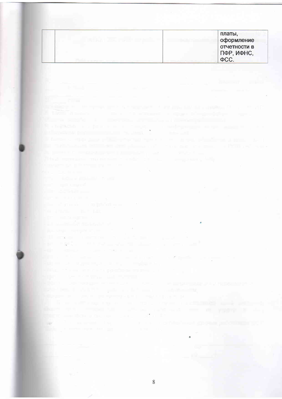| 21. 2<br><b>Filled</b><br><b>In the</b><br>in the contract of the contract of the contract of the contract of the contract of the contract of the contract of the contract of the contract of the contract of the contract of the contract of the contract of the contrac<br>In the discovery the authority of the discovery of the second control of the second control of the second control of the second control of the second control of the second control of the second control of the second contro<br>The company's the company's company's company's and<br>В стороную создания на стороную созданных можетельных соверх в просто<br>The model of the control of the state of<br>the control of the control<br>a factor of the days and an entirely species on the press president of the co-<br>the contribution of the state and products and the<br>The debt of a firm of a Planty of these<br>the process of the company of the process of the company of the company of the company of<br>This experience model and the first proposed of<br>a comprehensive control of the company of the<br><b>Barrier Committee States</b><br><b>Service College Automation Service</b><br>and consult<br>and the state results are all<br>For a company of the company<br>g ber in die grootste beste in die gebruik van die gebruike van die gebruike van die gebruike van die gebruike<br><b>THE STATE OF BUILDING</b><br>la provincia factorizmo e s<br><u>a yili milli mashari m</u><br><b>The Country of the Country of the Country of the Country of the Country of the Country of the Country of the C</b><br>all man common court be a sub-<br>Fig. 1980. The process of the company of the<br><b>REGISTER CONTINUES IN STREET TOOL FIELDS</b><br>and the state of the state of the state of the first state of the<br><b>REFERENCE AND RESIDENCE OF PROPERTY</b><br>man and the first second the control of the population of the project second price and the control of<br>a por transferências anticas que a como a companya de un proporciones en el<br>state that is controlled as a substitution of the competition of the<br><b>CONTRACTOR</b> CONTRACTOR CONTRACTOR<br>and the control of the control of the control of the control of the control of the control of the control of the control of the control of the control of the control of the control of the control of the control of the cont<br>the contract of the contract and the contract of the property of the property of the contract of the contract of the contract of the contract of the contract of the contract of the contract of the contract of the contract<br>man - to the control of the China<br>we have a set of the control of the control of the problems of the<br>the community of the community of the community of the community of the community of the community of the community of the community of the community of the community of the community of the community of the community of t | bellet a strong and the strong strong and    | платы,<br>оформление<br>отчетности в<br>ПФР, ИФНС,<br>ФCC. |
|---------------------------------------------------------------------------------------------------------------------------------------------------------------------------------------------------------------------------------------------------------------------------------------------------------------------------------------------------------------------------------------------------------------------------------------------------------------------------------------------------------------------------------------------------------------------------------------------------------------------------------------------------------------------------------------------------------------------------------------------------------------------------------------------------------------------------------------------------------------------------------------------------------------------------------------------------------------------------------------------------------------------------------------------------------------------------------------------------------------------------------------------------------------------------------------------------------------------------------------------------------------------------------------------------------------------------------------------------------------------------------------------------------------------------------------------------------------------------------------------------------------------------------------------------------------------------------------------------------------------------------------------------------------------------------------------------------------------------------------------------------------------------------------------------------------------------------------------------------------------------------------------------------------------------------------------------------------------------------------------------------------------------------------------------------------------------------------------------------------------------------------------------------------------------------------------------------------------------------------------------------------------------------------------------------------------------------------------------------------------------------------------------------------------------------------------------------------------------------------------------------------------------------------------------------------------------------------------------------------------------------------------------------------------------------------------------------------------------------------------------------------------------------------------------------------------------------------------------------------------------------------------------------------------------------------------------------------------------------------------------------|----------------------------------------------|------------------------------------------------------------|
|                                                                                                                                                                                                                                                                                                                                                                                                                                                                                                                                                                                                                                                                                                                                                                                                                                                                                                                                                                                                                                                                                                                                                                                                                                                                                                                                                                                                                                                                                                                                                                                                                                                                                                                                                                                                                                                                                                                                                                                                                                                                                                                                                                                                                                                                                                                                                                                                                                                                                                                                                                                                                                                                                                                                                                                                                                                                                                                                                                                                         |                                              |                                                            |
|                                                                                                                                                                                                                                                                                                                                                                                                                                                                                                                                                                                                                                                                                                                                                                                                                                                                                                                                                                                                                                                                                                                                                                                                                                                                                                                                                                                                                                                                                                                                                                                                                                                                                                                                                                                                                                                                                                                                                                                                                                                                                                                                                                                                                                                                                                                                                                                                                                                                                                                                                                                                                                                                                                                                                                                                                                                                                                                                                                                                         |                                              |                                                            |
|                                                                                                                                                                                                                                                                                                                                                                                                                                                                                                                                                                                                                                                                                                                                                                                                                                                                                                                                                                                                                                                                                                                                                                                                                                                                                                                                                                                                                                                                                                                                                                                                                                                                                                                                                                                                                                                                                                                                                                                                                                                                                                                                                                                                                                                                                                                                                                                                                                                                                                                                                                                                                                                                                                                                                                                                                                                                                                                                                                                                         |                                              |                                                            |
|                                                                                                                                                                                                                                                                                                                                                                                                                                                                                                                                                                                                                                                                                                                                                                                                                                                                                                                                                                                                                                                                                                                                                                                                                                                                                                                                                                                                                                                                                                                                                                                                                                                                                                                                                                                                                                                                                                                                                                                                                                                                                                                                                                                                                                                                                                                                                                                                                                                                                                                                                                                                                                                                                                                                                                                                                                                                                                                                                                                                         |                                              |                                                            |
|                                                                                                                                                                                                                                                                                                                                                                                                                                                                                                                                                                                                                                                                                                                                                                                                                                                                                                                                                                                                                                                                                                                                                                                                                                                                                                                                                                                                                                                                                                                                                                                                                                                                                                                                                                                                                                                                                                                                                                                                                                                                                                                                                                                                                                                                                                                                                                                                                                                                                                                                                                                                                                                                                                                                                                                                                                                                                                                                                                                                         |                                              |                                                            |
|                                                                                                                                                                                                                                                                                                                                                                                                                                                                                                                                                                                                                                                                                                                                                                                                                                                                                                                                                                                                                                                                                                                                                                                                                                                                                                                                                                                                                                                                                                                                                                                                                                                                                                                                                                                                                                                                                                                                                                                                                                                                                                                                                                                                                                                                                                                                                                                                                                                                                                                                                                                                                                                                                                                                                                                                                                                                                                                                                                                                         |                                              |                                                            |
|                                                                                                                                                                                                                                                                                                                                                                                                                                                                                                                                                                                                                                                                                                                                                                                                                                                                                                                                                                                                                                                                                                                                                                                                                                                                                                                                                                                                                                                                                                                                                                                                                                                                                                                                                                                                                                                                                                                                                                                                                                                                                                                                                                                                                                                                                                                                                                                                                                                                                                                                                                                                                                                                                                                                                                                                                                                                                                                                                                                                         |                                              |                                                            |
|                                                                                                                                                                                                                                                                                                                                                                                                                                                                                                                                                                                                                                                                                                                                                                                                                                                                                                                                                                                                                                                                                                                                                                                                                                                                                                                                                                                                                                                                                                                                                                                                                                                                                                                                                                                                                                                                                                                                                                                                                                                                                                                                                                                                                                                                                                                                                                                                                                                                                                                                                                                                                                                                                                                                                                                                                                                                                                                                                                                                         |                                              |                                                            |
|                                                                                                                                                                                                                                                                                                                                                                                                                                                                                                                                                                                                                                                                                                                                                                                                                                                                                                                                                                                                                                                                                                                                                                                                                                                                                                                                                                                                                                                                                                                                                                                                                                                                                                                                                                                                                                                                                                                                                                                                                                                                                                                                                                                                                                                                                                                                                                                                                                                                                                                                                                                                                                                                                                                                                                                                                                                                                                                                                                                                         |                                              |                                                            |
|                                                                                                                                                                                                                                                                                                                                                                                                                                                                                                                                                                                                                                                                                                                                                                                                                                                                                                                                                                                                                                                                                                                                                                                                                                                                                                                                                                                                                                                                                                                                                                                                                                                                                                                                                                                                                                                                                                                                                                                                                                                                                                                                                                                                                                                                                                                                                                                                                                                                                                                                                                                                                                                                                                                                                                                                                                                                                                                                                                                                         |                                              |                                                            |
|                                                                                                                                                                                                                                                                                                                                                                                                                                                                                                                                                                                                                                                                                                                                                                                                                                                                                                                                                                                                                                                                                                                                                                                                                                                                                                                                                                                                                                                                                                                                                                                                                                                                                                                                                                                                                                                                                                                                                                                                                                                                                                                                                                                                                                                                                                                                                                                                                                                                                                                                                                                                                                                                                                                                                                                                                                                                                                                                                                                                         |                                              |                                                            |
|                                                                                                                                                                                                                                                                                                                                                                                                                                                                                                                                                                                                                                                                                                                                                                                                                                                                                                                                                                                                                                                                                                                                                                                                                                                                                                                                                                                                                                                                                                                                                                                                                                                                                                                                                                                                                                                                                                                                                                                                                                                                                                                                                                                                                                                                                                                                                                                                                                                                                                                                                                                                                                                                                                                                                                                                                                                                                                                                                                                                         |                                              |                                                            |
|                                                                                                                                                                                                                                                                                                                                                                                                                                                                                                                                                                                                                                                                                                                                                                                                                                                                                                                                                                                                                                                                                                                                                                                                                                                                                                                                                                                                                                                                                                                                                                                                                                                                                                                                                                                                                                                                                                                                                                                                                                                                                                                                                                                                                                                                                                                                                                                                                                                                                                                                                                                                                                                                                                                                                                                                                                                                                                                                                                                                         |                                              |                                                            |
|                                                                                                                                                                                                                                                                                                                                                                                                                                                                                                                                                                                                                                                                                                                                                                                                                                                                                                                                                                                                                                                                                                                                                                                                                                                                                                                                                                                                                                                                                                                                                                                                                                                                                                                                                                                                                                                                                                                                                                                                                                                                                                                                                                                                                                                                                                                                                                                                                                                                                                                                                                                                                                                                                                                                                                                                                                                                                                                                                                                                         |                                              |                                                            |
|                                                                                                                                                                                                                                                                                                                                                                                                                                                                                                                                                                                                                                                                                                                                                                                                                                                                                                                                                                                                                                                                                                                                                                                                                                                                                                                                                                                                                                                                                                                                                                                                                                                                                                                                                                                                                                                                                                                                                                                                                                                                                                                                                                                                                                                                                                                                                                                                                                                                                                                                                                                                                                                                                                                                                                                                                                                                                                                                                                                                         |                                              |                                                            |
|                                                                                                                                                                                                                                                                                                                                                                                                                                                                                                                                                                                                                                                                                                                                                                                                                                                                                                                                                                                                                                                                                                                                                                                                                                                                                                                                                                                                                                                                                                                                                                                                                                                                                                                                                                                                                                                                                                                                                                                                                                                                                                                                                                                                                                                                                                                                                                                                                                                                                                                                                                                                                                                                                                                                                                                                                                                                                                                                                                                                         |                                              |                                                            |
|                                                                                                                                                                                                                                                                                                                                                                                                                                                                                                                                                                                                                                                                                                                                                                                                                                                                                                                                                                                                                                                                                                                                                                                                                                                                                                                                                                                                                                                                                                                                                                                                                                                                                                                                                                                                                                                                                                                                                                                                                                                                                                                                                                                                                                                                                                                                                                                                                                                                                                                                                                                                                                                                                                                                                                                                                                                                                                                                                                                                         |                                              |                                                            |
|                                                                                                                                                                                                                                                                                                                                                                                                                                                                                                                                                                                                                                                                                                                                                                                                                                                                                                                                                                                                                                                                                                                                                                                                                                                                                                                                                                                                                                                                                                                                                                                                                                                                                                                                                                                                                                                                                                                                                                                                                                                                                                                                                                                                                                                                                                                                                                                                                                                                                                                                                                                                                                                                                                                                                                                                                                                                                                                                                                                                         |                                              |                                                            |
|                                                                                                                                                                                                                                                                                                                                                                                                                                                                                                                                                                                                                                                                                                                                                                                                                                                                                                                                                                                                                                                                                                                                                                                                                                                                                                                                                                                                                                                                                                                                                                                                                                                                                                                                                                                                                                                                                                                                                                                                                                                                                                                                                                                                                                                                                                                                                                                                                                                                                                                                                                                                                                                                                                                                                                                                                                                                                                                                                                                                         |                                              |                                                            |
|                                                                                                                                                                                                                                                                                                                                                                                                                                                                                                                                                                                                                                                                                                                                                                                                                                                                                                                                                                                                                                                                                                                                                                                                                                                                                                                                                                                                                                                                                                                                                                                                                                                                                                                                                                                                                                                                                                                                                                                                                                                                                                                                                                                                                                                                                                                                                                                                                                                                                                                                                                                                                                                                                                                                                                                                                                                                                                                                                                                                         |                                              |                                                            |
|                                                                                                                                                                                                                                                                                                                                                                                                                                                                                                                                                                                                                                                                                                                                                                                                                                                                                                                                                                                                                                                                                                                                                                                                                                                                                                                                                                                                                                                                                                                                                                                                                                                                                                                                                                                                                                                                                                                                                                                                                                                                                                                                                                                                                                                                                                                                                                                                                                                                                                                                                                                                                                                                                                                                                                                                                                                                                                                                                                                                         |                                              |                                                            |
|                                                                                                                                                                                                                                                                                                                                                                                                                                                                                                                                                                                                                                                                                                                                                                                                                                                                                                                                                                                                                                                                                                                                                                                                                                                                                                                                                                                                                                                                                                                                                                                                                                                                                                                                                                                                                                                                                                                                                                                                                                                                                                                                                                                                                                                                                                                                                                                                                                                                                                                                                                                                                                                                                                                                                                                                                                                                                                                                                                                                         |                                              |                                                            |
|                                                                                                                                                                                                                                                                                                                                                                                                                                                                                                                                                                                                                                                                                                                                                                                                                                                                                                                                                                                                                                                                                                                                                                                                                                                                                                                                                                                                                                                                                                                                                                                                                                                                                                                                                                                                                                                                                                                                                                                                                                                                                                                                                                                                                                                                                                                                                                                                                                                                                                                                                                                                                                                                                                                                                                                                                                                                                                                                                                                                         |                                              |                                                            |
|                                                                                                                                                                                                                                                                                                                                                                                                                                                                                                                                                                                                                                                                                                                                                                                                                                                                                                                                                                                                                                                                                                                                                                                                                                                                                                                                                                                                                                                                                                                                                                                                                                                                                                                                                                                                                                                                                                                                                                                                                                                                                                                                                                                                                                                                                                                                                                                                                                                                                                                                                                                                                                                                                                                                                                                                                                                                                                                                                                                                         |                                              |                                                            |
|                                                                                                                                                                                                                                                                                                                                                                                                                                                                                                                                                                                                                                                                                                                                                                                                                                                                                                                                                                                                                                                                                                                                                                                                                                                                                                                                                                                                                                                                                                                                                                                                                                                                                                                                                                                                                                                                                                                                                                                                                                                                                                                                                                                                                                                                                                                                                                                                                                                                                                                                                                                                                                                                                                                                                                                                                                                                                                                                                                                                         |                                              |                                                            |
|                                                                                                                                                                                                                                                                                                                                                                                                                                                                                                                                                                                                                                                                                                                                                                                                                                                                                                                                                                                                                                                                                                                                                                                                                                                                                                                                                                                                                                                                                                                                                                                                                                                                                                                                                                                                                                                                                                                                                                                                                                                                                                                                                                                                                                                                                                                                                                                                                                                                                                                                                                                                                                                                                                                                                                                                                                                                                                                                                                                                         |                                              |                                                            |
|                                                                                                                                                                                                                                                                                                                                                                                                                                                                                                                                                                                                                                                                                                                                                                                                                                                                                                                                                                                                                                                                                                                                                                                                                                                                                                                                                                                                                                                                                                                                                                                                                                                                                                                                                                                                                                                                                                                                                                                                                                                                                                                                                                                                                                                                                                                                                                                                                                                                                                                                                                                                                                                                                                                                                                                                                                                                                                                                                                                                         |                                              |                                                            |
|                                                                                                                                                                                                                                                                                                                                                                                                                                                                                                                                                                                                                                                                                                                                                                                                                                                                                                                                                                                                                                                                                                                                                                                                                                                                                                                                                                                                                                                                                                                                                                                                                                                                                                                                                                                                                                                                                                                                                                                                                                                                                                                                                                                                                                                                                                                                                                                                                                                                                                                                                                                                                                                                                                                                                                                                                                                                                                                                                                                                         |                                              |                                                            |
|                                                                                                                                                                                                                                                                                                                                                                                                                                                                                                                                                                                                                                                                                                                                                                                                                                                                                                                                                                                                                                                                                                                                                                                                                                                                                                                                                                                                                                                                                                                                                                                                                                                                                                                                                                                                                                                                                                                                                                                                                                                                                                                                                                                                                                                                                                                                                                                                                                                                                                                                                                                                                                                                                                                                                                                                                                                                                                                                                                                                         |                                              |                                                            |
|                                                                                                                                                                                                                                                                                                                                                                                                                                                                                                                                                                                                                                                                                                                                                                                                                                                                                                                                                                                                                                                                                                                                                                                                                                                                                                                                                                                                                                                                                                                                                                                                                                                                                                                                                                                                                                                                                                                                                                                                                                                                                                                                                                                                                                                                                                                                                                                                                                                                                                                                                                                                                                                                                                                                                                                                                                                                                                                                                                                                         | The contract of the contract of the contract |                                                            |
|                                                                                                                                                                                                                                                                                                                                                                                                                                                                                                                                                                                                                                                                                                                                                                                                                                                                                                                                                                                                                                                                                                                                                                                                                                                                                                                                                                                                                                                                                                                                                                                                                                                                                                                                                                                                                                                                                                                                                                                                                                                                                                                                                                                                                                                                                                                                                                                                                                                                                                                                                                                                                                                                                                                                                                                                                                                                                                                                                                                                         |                                              |                                                            |
|                                                                                                                                                                                                                                                                                                                                                                                                                                                                                                                                                                                                                                                                                                                                                                                                                                                                                                                                                                                                                                                                                                                                                                                                                                                                                                                                                                                                                                                                                                                                                                                                                                                                                                                                                                                                                                                                                                                                                                                                                                                                                                                                                                                                                                                                                                                                                                                                                                                                                                                                                                                                                                                                                                                                                                                                                                                                                                                                                                                                         |                                              |                                                            |
|                                                                                                                                                                                                                                                                                                                                                                                                                                                                                                                                                                                                                                                                                                                                                                                                                                                                                                                                                                                                                                                                                                                                                                                                                                                                                                                                                                                                                                                                                                                                                                                                                                                                                                                                                                                                                                                                                                                                                                                                                                                                                                                                                                                                                                                                                                                                                                                                                                                                                                                                                                                                                                                                                                                                                                                                                                                                                                                                                                                                         |                                              |                                                            |
|                                                                                                                                                                                                                                                                                                                                                                                                                                                                                                                                                                                                                                                                                                                                                                                                                                                                                                                                                                                                                                                                                                                                                                                                                                                                                                                                                                                                                                                                                                                                                                                                                                                                                                                                                                                                                                                                                                                                                                                                                                                                                                                                                                                                                                                                                                                                                                                                                                                                                                                                                                                                                                                                                                                                                                                                                                                                                                                                                                                                         |                                              |                                                            |
|                                                                                                                                                                                                                                                                                                                                                                                                                                                                                                                                                                                                                                                                                                                                                                                                                                                                                                                                                                                                                                                                                                                                                                                                                                                                                                                                                                                                                                                                                                                                                                                                                                                                                                                                                                                                                                                                                                                                                                                                                                                                                                                                                                                                                                                                                                                                                                                                                                                                                                                                                                                                                                                                                                                                                                                                                                                                                                                                                                                                         |                                              |                                                            |
|                                                                                                                                                                                                                                                                                                                                                                                                                                                                                                                                                                                                                                                                                                                                                                                                                                                                                                                                                                                                                                                                                                                                                                                                                                                                                                                                                                                                                                                                                                                                                                                                                                                                                                                                                                                                                                                                                                                                                                                                                                                                                                                                                                                                                                                                                                                                                                                                                                                                                                                                                                                                                                                                                                                                                                                                                                                                                                                                                                                                         |                                              |                                                            |
|                                                                                                                                                                                                                                                                                                                                                                                                                                                                                                                                                                                                                                                                                                                                                                                                                                                                                                                                                                                                                                                                                                                                                                                                                                                                                                                                                                                                                                                                                                                                                                                                                                                                                                                                                                                                                                                                                                                                                                                                                                                                                                                                                                                                                                                                                                                                                                                                                                                                                                                                                                                                                                                                                                                                                                                                                                                                                                                                                                                                         |                                              |                                                            |
|                                                                                                                                                                                                                                                                                                                                                                                                                                                                                                                                                                                                                                                                                                                                                                                                                                                                                                                                                                                                                                                                                                                                                                                                                                                                                                                                                                                                                                                                                                                                                                                                                                                                                                                                                                                                                                                                                                                                                                                                                                                                                                                                                                                                                                                                                                                                                                                                                                                                                                                                                                                                                                                                                                                                                                                                                                                                                                                                                                                                         |                                              |                                                            |
|                                                                                                                                                                                                                                                                                                                                                                                                                                                                                                                                                                                                                                                                                                                                                                                                                                                                                                                                                                                                                                                                                                                                                                                                                                                                                                                                                                                                                                                                                                                                                                                                                                                                                                                                                                                                                                                                                                                                                                                                                                                                                                                                                                                                                                                                                                                                                                                                                                                                                                                                                                                                                                                                                                                                                                                                                                                                                                                                                                                                         |                                              |                                                            |
|                                                                                                                                                                                                                                                                                                                                                                                                                                                                                                                                                                                                                                                                                                                                                                                                                                                                                                                                                                                                                                                                                                                                                                                                                                                                                                                                                                                                                                                                                                                                                                                                                                                                                                                                                                                                                                                                                                                                                                                                                                                                                                                                                                                                                                                                                                                                                                                                                                                                                                                                                                                                                                                                                                                                                                                                                                                                                                                                                                                                         |                                              |                                                            |
|                                                                                                                                                                                                                                                                                                                                                                                                                                                                                                                                                                                                                                                                                                                                                                                                                                                                                                                                                                                                                                                                                                                                                                                                                                                                                                                                                                                                                                                                                                                                                                                                                                                                                                                                                                                                                                                                                                                                                                                                                                                                                                                                                                                                                                                                                                                                                                                                                                                                                                                                                                                                                                                                                                                                                                                                                                                                                                                                                                                                         |                                              |                                                            |
|                                                                                                                                                                                                                                                                                                                                                                                                                                                                                                                                                                                                                                                                                                                                                                                                                                                                                                                                                                                                                                                                                                                                                                                                                                                                                                                                                                                                                                                                                                                                                                                                                                                                                                                                                                                                                                                                                                                                                                                                                                                                                                                                                                                                                                                                                                                                                                                                                                                                                                                                                                                                                                                                                                                                                                                                                                                                                                                                                                                                         |                                              |                                                            |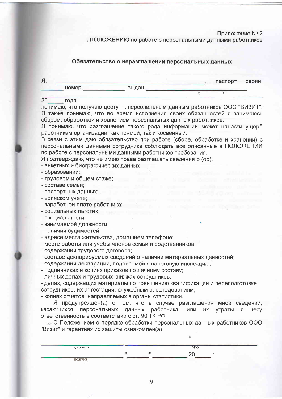### Приложение № 2

к ПОЛОЖЕНИЮ по работе с персональными данными работников

### Обязательство о неразглашении персональных данных

|       |       | паспорт | серии |
|-------|-------|---------|-------|
| HOMer | выдан |         |       |
|       |       |         |       |

#### $20<sub>2</sub>$ года

понимаю, что получаю доступ к персональным данным работников ООО "ВИЗИТ". Я также понимаю, что во время исполнения своих обязанностей я занимаюсь сбором. обработкой и хранением персональных данных работников.

Я понимаю, что разглашение такого рода информации может нанести ущерб работникам организации, как прямой, так и косвенный.

В связи с этим даю обязательство при работе (сборе, обработке и хранении) с персональными данными сотрудника соблюдать все описанные в ПОЛОЖЕНИИ по работе с персональными данными работников требования.

Я подтверждаю, что не имею права разглашать сведения о (об):

- анкетных и биографических данных:
- образовании:

- трудовом и общем стаже;

- составе семьи:

- паспортных данных;

- воинском учете;

- заработной плате работника;

- социальных льготах:
- специальности:
- занимаемой должности;
- наличии судимостей;

- адресе места жительства, домашнем телефоне;

- месте работы или учебы членов семьи и родственников;
- содержании трудового договора;
- составе декларируемых сведений о наличии материальных ценностей;
- содержании декларации, подаваемой в налоговую инспекцию;
- подлинниках и копиях приказов по личному составу;

- личных делах и трудовых книжках сотрудников;

- делах, содержащих материалы по повышению квалификации и переподготовке сотрудников, их аттестации, служебным расследованиям:

- копиях отчетов, направляемых в органы статистики.

Я предупрежден(а) о том, что в случае разглашения мной сведений, касающихся персональных данных работника, или  $MX$ утраты я **Hecv** ответственность в соответствии с ст. 90 ТК РФ.

• С Положением о порядке обработки персональных данных работников ООО "Визит" и гарантиях их защиты ознакомлен(а).

| должность                       |      |                                    | ФИО |  |
|---------------------------------|------|------------------------------------|-----|--|
|                                 | -622 |                                    |     |  |
| подпись<br><b>Service State</b> |      | and the property of the control of |     |  |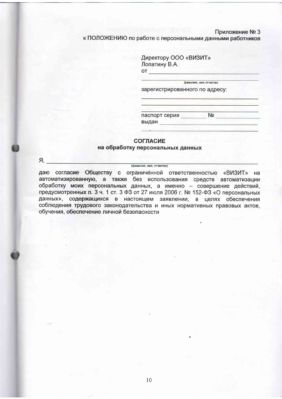#### Приложение № 3

к ПОЛОЖЕНИЮ по работе с персональными данными работников

Директору ООО «ВИЗИТ» Лопатину В.А. **OT** 

зарегистрированного по адресу:

фамилия, имя отчество

паспорт серия № № выдан по поставительно

### **СОГЛАСИЕ**

#### на обработку персональных данных

 $A<sub>1</sub>$ 

даю согласие Обществу с ограниченной ответственностью «ВИЗИТ» на автоматизированную, а также без использования средств автоматизации обработку моих персональных данных, а именно - совершение действий, предусмотренных п. 3 ч. 1 ст. 3 ФЗ от 27 июля 2006 г. № 152-ФЗ «О персональных данных», содержащихся в настоящем заявлении, в целях обеспечения соблюдения трудового законодательства и иных нормативных правовых актов. обучения, обеспечение личной безопасности